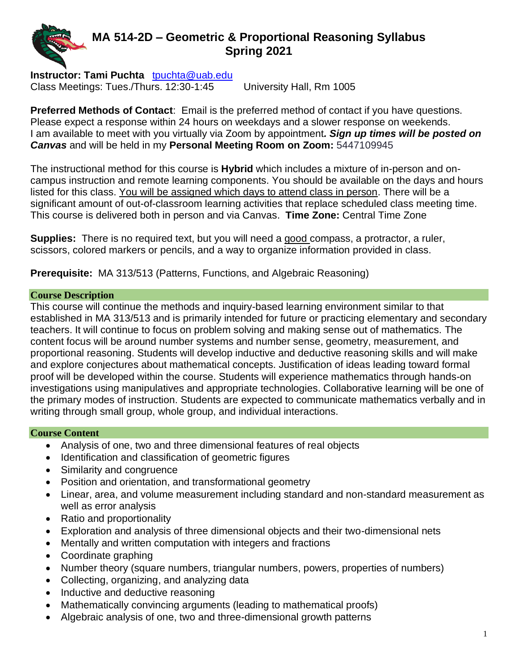# **MA 514-2D – Geometric & Proportional Reasoning Syllabus Spring 2021**

**Instructor: Tami Puchta** [tpuchta@uab.edu](mailto:tpuchta@uab.edu) Class Meetings: Tues./Thurs. 12:30-1:45 University Hall, Rm 1005

**Preferred Methods of Contact**: Email is the preferred method of contact if you have questions. Please expect a response within 24 hours on weekdays and a slower response on weekends. I am available to meet with you virtually via Zoom by appointment*. Sign up times will be posted on Canvas* and will be held in my **Personal Meeting Room on Zoom:** 5447109945

The instructional method for this course is **Hybrid** which includes a mixture of in-person and oncampus instruction and remote learning components. You should be available on the days and hours listed for this class. You will be assigned which days to attend class in person. There will be a significant amount of out-of-classroom learning activities that replace scheduled class meeting time. This course is delivered both in person and via Canvas. **Time Zone:** Central Time Zone

**Supplies:** There is no required text, but you will need a good compass, a protractor, a ruler, scissors, colored markers or pencils, and a way to organize information provided in class.

**Prerequisite:** MA 313/513 (Patterns, Functions, and Algebraic Reasoning)

# **Course Description**

This course will continue the methods and inquiry-based learning environment similar to that established in MA 313/513 and is primarily intended for future or practicing elementary and secondary teachers. It will continue to focus on problem solving and making sense out of mathematics. The content focus will be around number systems and number sense, geometry, measurement, and proportional reasoning. Students will develop inductive and deductive reasoning skills and will make and explore conjectures about mathematical concepts. Justification of ideas leading toward formal proof will be developed within the course. Students will experience mathematics through hands-on investigations using manipulatives and appropriate technologies. Collaborative learning will be one of the primary modes of instruction. Students are expected to communicate mathematics verbally and in writing through small group, whole group, and individual interactions.

# **Course Content**

- Analysis of one, two and three dimensional features of real objects
- Identification and classification of geometric figures
- Similarity and congruence
- Position and orientation, and transformational geometry
- Linear, area, and volume measurement including standard and non-standard measurement as well as error analysis
- Ratio and proportionality
- Exploration and analysis of three dimensional objects and their two-dimensional nets
- Mentally and written computation with integers and fractions
- Coordinate graphing
- Number theory (square numbers, triangular numbers, powers, properties of numbers)
- Collecting, organizing, and analyzing data
- Inductive and deductive reasoning
- Mathematically convincing arguments (leading to mathematical proofs)
- Algebraic analysis of one, two and three-dimensional growth patterns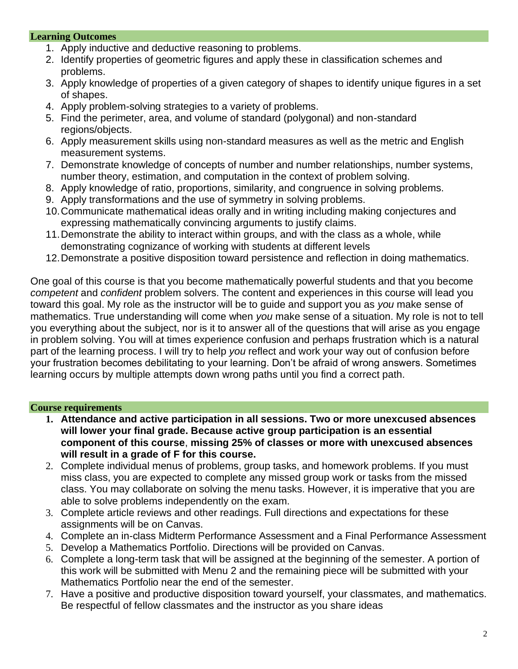# **Learning Outcomes**

- 1. Apply inductive and deductive reasoning to problems.
- 2. Identify properties of geometric figures and apply these in classification schemes and problems.
- 3. Apply knowledge of properties of a given category of shapes to identify unique figures in a set of shapes.
- 4. Apply problem-solving strategies to a variety of problems.
- 5. Find the perimeter, area, and volume of standard (polygonal) and non-standard regions/objects.
- 6. Apply measurement skills using non-standard measures as well as the metric and English measurement systems.
- 7. Demonstrate knowledge of concepts of number and number relationships, number systems, number theory, estimation, and computation in the context of problem solving.
- 8. Apply knowledge of ratio, proportions, similarity, and congruence in solving problems.
- 9. Apply transformations and the use of symmetry in solving problems.
- 10.Communicate mathematical ideas orally and in writing including making conjectures and expressing mathematically convincing arguments to justify claims.
- 11.Demonstrate the ability to interact within groups, and with the class as a whole, while demonstrating cognizance of working with students at different levels
- 12.Demonstrate a positive disposition toward persistence and reflection in doing mathematics.

One goal of this course is that you become mathematically powerful students and that you become *competent* and *confident* problem solvers. The content and experiences in this course will lead you toward this goal. My role as the instructor will be to guide and support you as *you* make sense of mathematics. True understanding will come when *you* make sense of a situation. My role is not to tell you everything about the subject, nor is it to answer all of the questions that will arise as you engage in problem solving. You will at times experience confusion and perhaps frustration which is a natural part of the learning process. I will try to help *you* reflect and work your way out of confusion before your frustration becomes debilitating to your learning. Don't be afraid of wrong answers. Sometimes learning occurs by multiple attempts down wrong paths until you find a correct path.

# **Course requirements**

- **1. Attendance and active participation in all sessions. Two or more unexcused absences will lower your final grade. Because active group participation is an essential component of this course**, **missing 25% of classes or more with unexcused absences will result in a grade of F for this course.**
- 2. Complete individual menus of problems, group tasks, and homework problems. If you must miss class, you are expected to complete any missed group work or tasks from the missed class. You may collaborate on solving the menu tasks. However, it is imperative that you are able to solve problems independently on the exam.
- 3. Complete article reviews and other readings. Full directions and expectations for these assignments will be on Canvas.
- 4. Complete an in-class Midterm Performance Assessment and a Final Performance Assessment
- 5. Develop a Mathematics Portfolio. Directions will be provided on Canvas.
- 6. Complete a long-term task that will be assigned at the beginning of the semester. A portion of this work will be submitted with Menu 2 and the remaining piece will be submitted with your Mathematics Portfolio near the end of the semester.
- 7. Have a positive and productive disposition toward yourself, your classmates, and mathematics. Be respectful of fellow classmates and the instructor as you share ideas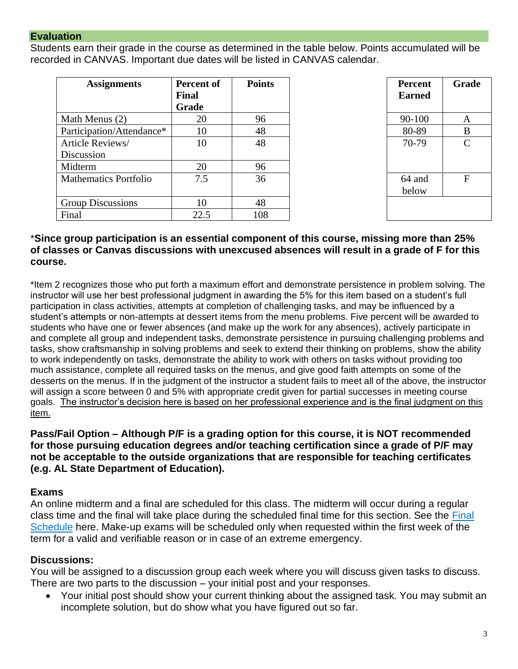#### **Evaluation**

Students earn their grade in the course as determined in the table below. Points accumulated will be recorded in CANVAS. Important due dates will be listed in CANVAS calendar.

| <b>Assignments</b>           | <b>Percent of</b><br><b>Final</b> | <b>Points</b> | <b>Percent</b><br><b>Earned</b> | Gra           |
|------------------------------|-----------------------------------|---------------|---------------------------------|---------------|
|                              | Grade                             |               |                                 |               |
| Math Menus (2)               | 20                                | 96            | 90-100                          | A             |
| Participation/Attendance*    | 10                                | 48            | 80-89                           | B             |
| Article Reviews/             | 10                                | 48            | 70-79                           | $\mathcal{C}$ |
| Discussion                   |                                   |               |                                 |               |
| Midterm                      | 20                                | 96            |                                 |               |
| <b>Mathematics Portfolio</b> | 7.5                               | 36            | 64 and                          | $\mathbf{F}$  |
|                              |                                   |               | below                           |               |
| <b>Group Discussions</b>     | 10                                | 48            |                                 |               |
| Final                        | 22.5                              | 108           |                                 |               |

| Points | <b>Percent</b><br><b>Earned</b> | Grade        |
|--------|---------------------------------|--------------|
| 96     | 90-100                          | A            |
| 48     | 80-89                           | B            |
| 48     | 70-79                           | $\mathsf{C}$ |
| 96     |                                 |              |
| 36     | 64 and<br>below                 | $\mathbf{F}$ |
| 48     |                                 |              |
| 108    |                                 |              |

#### \***Since group participation is an essential component of this course, missing more than 25% of classes or Canvas discussions with unexcused absences will result in a grade of F for this course.**

\*Item 2 recognizes those who put forth a maximum effort and demonstrate persistence in problem solving. The instructor will use her best professional judgment in awarding the 5% for this item based on a student's full participation in class activities, attempts at completion of challenging tasks, and may be influenced by a student's attempts or non-attempts at dessert items from the menu problems. Five percent will be awarded to students who have one or fewer absences (and make up the work for any absences), actively participate in and complete all group and independent tasks, demonstrate persistence in pursuing challenging problems and tasks, show craftsmanship in solving problems and seek to extend their thinking on problems, show the ability to work independently on tasks, demonstrate the ability to work with others on tasks without providing too much assistance, complete all required tasks on the menus, and give good faith attempts on some of the desserts on the menus. If in the judgment of the instructor a student fails to meet all of the above, the instructor will assign a score between 0 and 5% with appropriate credit given for partial successes in meeting course goals. The instructor's decision here is based on her professional experience and is the final judgment on this item.

# **Pass/Fail Option – Although P/F is a grading option for this course, it is NOT recommended for those pursuing education degrees and/or teaching certification since a grade of P/F may not be acceptable to the outside organizations that are responsible for teaching certificates (e.g. AL State Department of Education).**

# **Exams**

An online midterm and a final are scheduled for this class. The midterm will occur during a regular class time and the final will take place during the scheduled final time for this section. See the [Final](https://www.uab.edu/students/academics/final-exams)  [Schedule](https://www.uab.edu/students/academics/final-exams) here. Make-up exams will be scheduled only when requested within the first week of the term for a valid and verifiable reason or in case of an extreme emergency.

# **Discussions:**

You will be assigned to a discussion group each week where you will discuss given tasks to discuss. There are two parts to the discussion – your initial post and your responses.

• Your initial post should show your current thinking about the assigned task. You may submit an incomplete solution, but do show what you have figured out so far.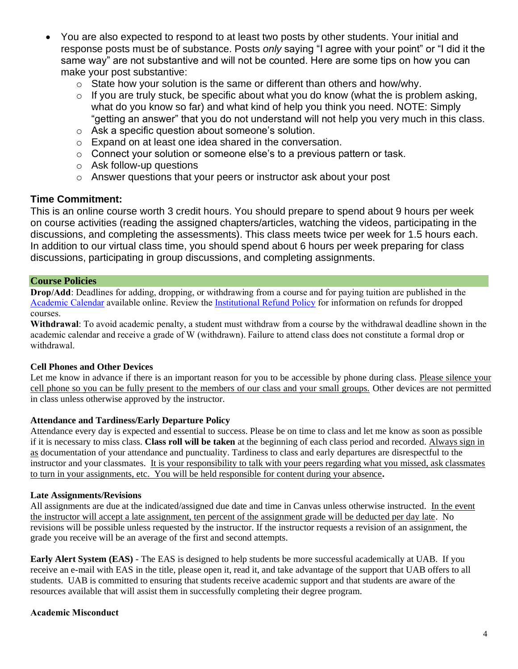- You are also expected to respond to at least two posts by other students. Your initial and response posts must be of substance. Posts *only* saying "I agree with your point" or "I did it the same way" are not substantive and will not be counted. Here are some tips on how you can make your post substantive:
	- o State how your solution is the same or different than others and how/why.
	- $\circ$  If you are truly stuck, be specific about what you do know (what the is problem asking, what do you know so far) and what kind of help you think you need. NOTE: Simply "getting an answer" that you do not understand will not help you very much in this class.
	- o Ask a specific question about someone's solution.
	- o Expand on at least one idea shared in the conversation.
	- o Connect your solution or someone else's to a previous pattern or task.
	- o Ask follow-up questions
	- o Answer questions that your peers or instructor ask about your post

#### **Time Commitment:**

This is an online course worth 3 credit hours. You should prepare to spend about 9 hours per week on course activities (reading the assigned chapters/articles, watching the videos, participating in the discussions, and completing the assessments). This class meets twice per week for 1.5 hours each. In addition to our virtual class time, you should spend about 6 hours per week preparing for class discussions, participating in group discussions, and completing assignments.

#### **Course Policies**

**Drop/Add**: Deadlines for adding, dropping, or withdrawing from a course and for paying tuition are published in the [Academic Calendar](https://www.uab.edu/students/academics/academic-calendar) available online. Review the [Institutional Refund Policy](https://www.uab.edu/students/one-stop/policies/institutional-refund-policy) for information on refunds for dropped courses.

**Withdrawal**: To avoid academic penalty, a student must withdraw from a course by the withdrawal deadline shown in the academic calendar and receive a grade of W (withdrawn). Failure to attend class does not constitute a formal drop or withdrawal.

#### **Cell Phones and Other Devices**

Let me know in advance if there is an important reason for you to be accessible by phone during class. Please silence your cell phone so you can be fully present to the members of our class and your small groups. Other devices are not permitted in class unless otherwise approved by the instructor.

#### **Attendance and Tardiness/Early Departure Policy**

Attendance every day is expected and essential to success. Please be on time to class and let me know as soon as possible if it is necessary to miss class. **Class roll will be taken** at the beginning of each class period and recorded. Always sign in as documentation of your attendance and punctuality. Tardiness to class and early departures are disrespectful to the instructor and your classmates. It is your responsibility to talk with your peers regarding what you missed, ask classmates to turn in your assignments, etc. You will be held responsible for content during your absence**.** 

#### **Late Assignments/Revisions**

All assignments are due at the indicated/assigned due date and time in Canvas unless otherwise instructed. In the event the instructor will accept a late assignment, ten percent of the assignment grade will be deducted per day late. No revisions will be possible unless requested by the instructor. If the instructor requests a revision of an assignment, the grade you receive will be an average of the first and second attempts.

**Early Alert System (EAS)** - The EAS is designed to help students be more successful academically at UAB. If you receive an e-mail with EAS in the title, please open it, read it, and take advantage of the support that UAB offers to all students. UAB is committed to ensuring that students receive academic support and that students are aware of the resources available that will assist them in successfully completing their degree program.

#### **Academic Misconduct**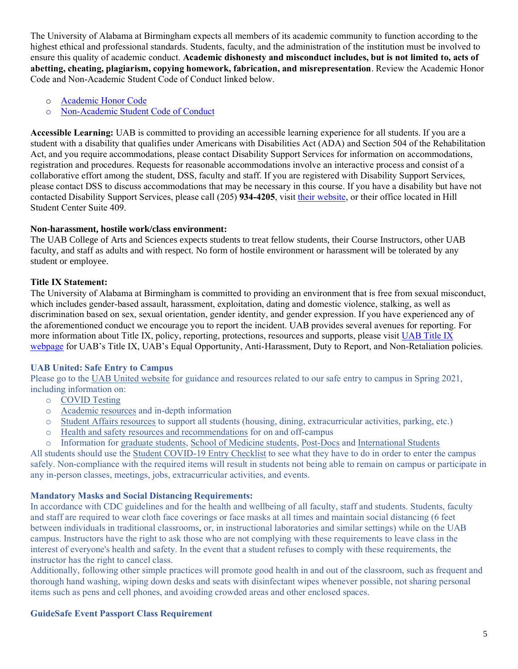The University of Alabama at Birmingham expects all members of its academic community to function according to the highest ethical and professional standards. Students, faculty, and the administration of the institution must be involved to ensure this quality of academic conduct. **Academic dishonesty and misconduct includes, but is not limited to, acts of abetting, cheating, plagiarism, copying homework, fabrication, and misrepresentation**. Review the Academic Honor Code and Non-Academic Student Code of Conduct linked below.

- o [Academic Honor Code](http://www.uab.edu/students/one-stop/policies/academic-honor-code)
- o [Non-Academic Student Code of Conduct](http://www.uab.edu/studentconduct)

**Accessible Learning:** UAB is committed to providing an accessible learning experience for all students. If you are a student with a disability that qualifies under Americans with Disabilities Act (ADA) and Section 504 of the Rehabilitation Act, and you require accommodations, please contact Disability Support Services for information on accommodations, registration and procedures. Requests for reasonable accommodations involve an interactive process and consist of a collaborative effort among the student, DSS, faculty and staff. If you are registered with Disability Support Services, please contact DSS to discuss accommodations that may be necessary in this course. If you have a disability but have not contacted Disability Support Services, please call (205) **934-4205**, visit [their website,](http://www.uab.edu/dss) or their office located in Hill Student Center Suite 409.

#### **Non-harassment, hostile work/class environment:**

The UAB College of Arts and Sciences expects students to treat fellow students, their Course Instructors, other UAB faculty, and staff as adults and with respect. No form of hostile environment or harassment will be tolerated by any student or employee.

#### **Title IX Statement:**

The University of Alabama at Birmingham is committed to providing an environment that is free from sexual misconduct, which includes gender-based assault, harassment, exploitation, dating and domestic violence, stalking, as well as discrimination based on sex, sexual orientation, gender identity, and gender expression. If you have experienced any of the aforementioned conduct we encourage you to report the incident. UAB provides several avenues for reporting. For more information about Title IX, policy, reporting, protections, resources and supports, please visi[t UAB Title IX](http://www.uab.edu/titleix)  [webpage](http://www.uab.edu/titleix) for UAB's Title IX, UAB's Equal Opportunity, Anti-Harassment, Duty to Report, and Non-Retaliation policies.

#### **UAB United: Safe Entry to Campus**

Please go to the [UAB United website](https://www.uab.edu/uabunited/students) for guidance and resources related to our safe entry to campus in Spring 2021, including information on:

- o [COVID Testing](https://www.uab.edu/uabunited/students/testing)
- o [Academic resources](https://www.uab.edu/uabunited/students/academics) and in-depth information
- o [Student Affairs resources](https://www.uab.edu/uabunited/students/student-affairs) to support all students (housing, dining, extracurricular activities, parking, etc.)
- o [Health and safety resources and recommendations](https://www.uab.edu/uabunited/students/health-safety) for on and off-campus
- o Information for [graduate students,](https://www.uab.edu/graduate/about/graduate-school-covid-19-updates) [School of Medicine students,](https://www.uab.edu/medicine/home/covid-19-updates) [Post-Docs](https://www.uab.edu/postdocs/covid-19) and [International Students](https://www.uab.edu/global/about/programs-services/isss/faqs-concerning-recent-sevp-guidance-and-covid-19-planning)

All students should use the [Student COVID-19 Entry Checklist](https://www.uab.edu/uabunited/entry-checklists#student-checklist) to see what they have to do in order to enter the campus safely. Non-compliance with the required items will result in students not being able to remain on campus or participate in any in-person classes, meetings, jobs, extracurricular activities, and events.

# **Mandatory Masks and Social Distancing Requirements:**

In accordance with CDC guidelines and for the health and wellbeing of all faculty, staff and students. Students, faculty and staff are required to wear cloth face coverings or face masks at all times and maintain social distancing (6 feet between individuals in traditional classrooms, or, in instructional laboratories and similar settings) while on the UAB campus. Instructors have the right to ask those who are not complying with these requirements to leave class in the interest of everyone's health and safety. In the event that a student refuses to comply with these requirements, the instructor has the right to cancel class.

Additionally, following other simple practices will promote good health in and out of the classroom, such as frequent and thorough hand washing, wiping down desks and seats with disinfectant wipes whenever possible, not sharing personal items such as pens and cell phones, and avoiding crowded areas and other enclosed spaces.

# **GuideSafe Event Passport Class Requirement**